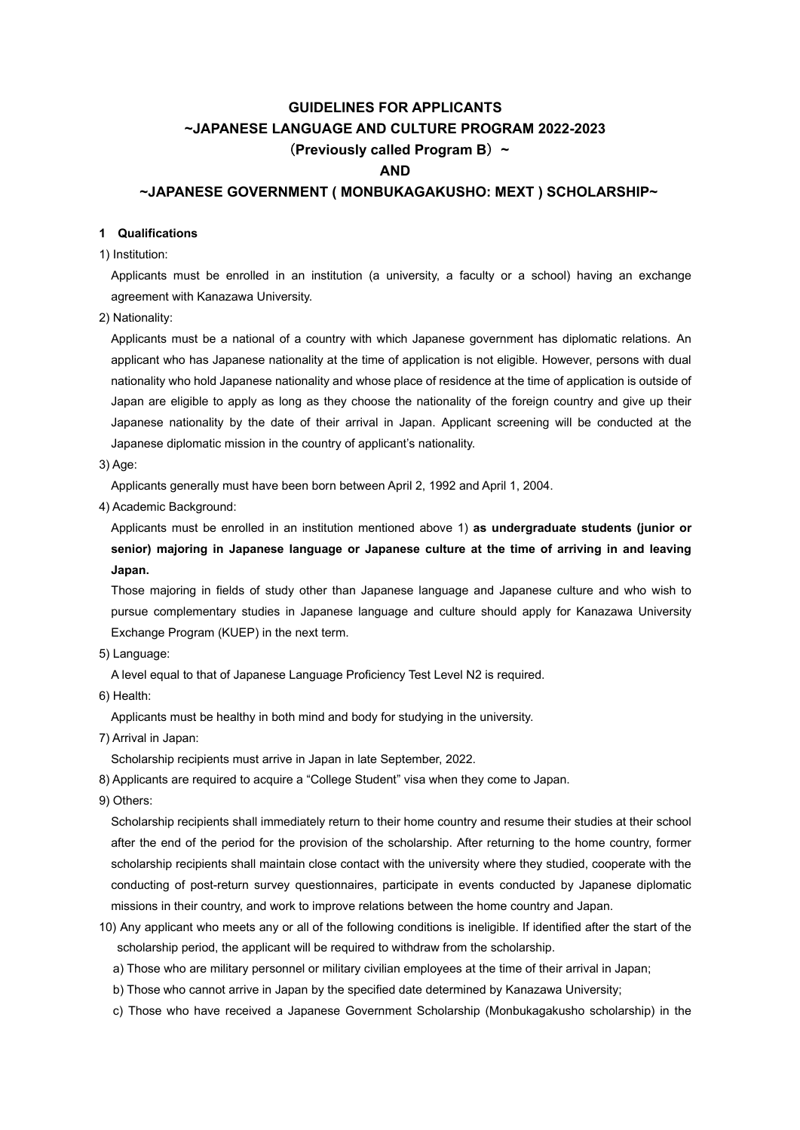# **GUIDELINES FOR APPLICANTS ~JAPANESE LANGUAGE AND CULTURE PROGRAM 2022-2023** (**Previously called Program B**)**~ AND ~JAPANESE GOVERNMENT ( MONBUKAGAKUSHO: MEXT ) SCHOLARSHIP~**

### **1 Qualifications**

1) Institution:

Applicants must be enrolled in an institution (a university, a faculty or a school) having an exchange agreement with Kanazawa University.

2) Nationality:

 Applicants must be a national of a country with which Japanese government has diplomatic relations. An applicant who has Japanese nationality at the time of application is not eligible. However, persons with dual nationality who hold Japanese nationality and whose place of residence at the time of application is outside of Japan are eligible to apply as long as they choose the nationality of the foreign country and give up their Japanese nationality by the date of their arrival in Japan. Applicant screening will be conducted at the Japanese diplomatic mission in the country of applicant's nationality.

3) Age:

Applicants generally must have been born between April 2, 1992 and April 1, 2004.

4) Academic Background:

 Applicants must be enrolled in an institution mentioned above 1) **as undergraduate students (junior or senior) majoring in Japanese language or Japanese culture at the time of arriving in and leaving Japan.** 

Those majoring in fields of study other than Japanese language and Japanese culture and who wish to pursue complementary studies in Japanese language and culture should apply for Kanazawa University Exchange Program (KUEP) in the next term.

5) Language:

A level equal to that of Japanese Language Proficiency Test Level N2 is required.

6) Health:

Applicants must be healthy in both mind and body for studying in the university.

7) Arrival in Japan:

Scholarship recipients must arrive in Japan in late September, 2022.

8) Applicants are required to acquire a "College Student" visa when they come to Japan.

9) Others:

 Scholarship recipients shall immediately return to their home country and resume their studies at their school after the end of the period for the provision of the scholarship. After returning to the home country, former scholarship recipients shall maintain close contact with the university where they studied, cooperate with the conducting of post-return survey questionnaires, participate in events conducted by Japanese diplomatic missions in their country, and work to improve relations between the home country and Japan.

- 10) Any applicant who meets any or all of the following conditions is ineligible. If identified after the start of the scholarship period, the applicant will be required to withdraw from the scholarship.
	- a) Those who are military personnel or military civilian employees at the time of their arrival in Japan;
	- b) Those who cannot arrive in Japan by the specified date determined by Kanazawa University;
	- c) Those who have received a Japanese Government Scholarship (Monbukagakusho scholarship) in the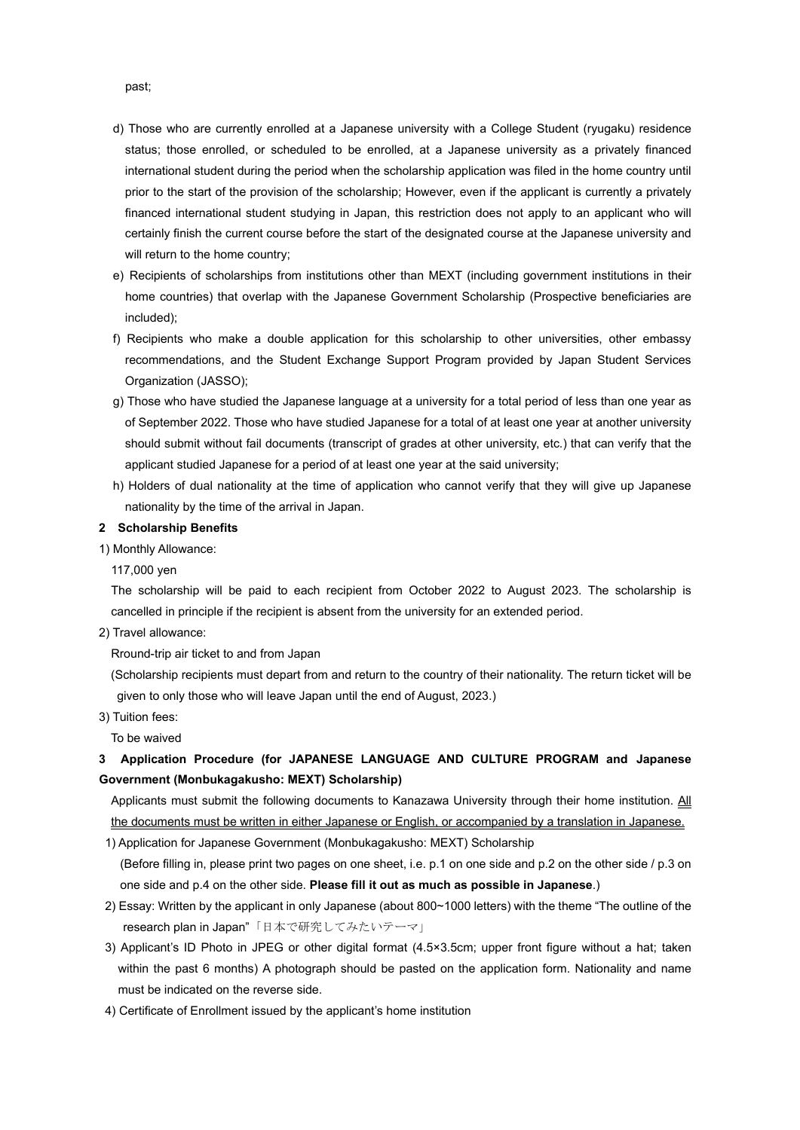- d) Those who are currently enrolled at a Japanese university with a College Student (ryugaku) residence status; those enrolled, or scheduled to be enrolled, at a Japanese university as a privately financed international student during the period when the scholarship application was filed in the home country until prior to the start of the provision of the scholarship; However, even if the applicant is currently a privately financed international student studying in Japan, this restriction does not apply to an applicant who will certainly finish the current course before the start of the designated course at the Japanese university and will return to the home country;
- e) Recipients of scholarships from institutions other than MEXT (including government institutions in their home countries) that overlap with the Japanese Government Scholarship (Prospective beneficiaries are included);
- f) Recipients who make a double application for this scholarship to other universities, other embassy recommendations, and the Student Exchange Support Program provided by Japan Student Services Organization (JASSO);
- g) Those who have studied the Japanese language at a university for a total period of less than one year as of September 2022. Those who have studied Japanese for a total of at least one year at another university should submit without fail documents (transcript of grades at other university, etc.) that can verify that the applicant studied Japanese for a period of at least one year at the said university;
- h) Holders of dual nationality at the time of application who cannot verify that they will give up Japanese nationality by the time of the arrival in Japan.

### **2 Scholarship Benefits**

1) Monthly Allowance:

117,000 yen

The scholarship will be paid to each recipient from October 2022 to August 2023. The scholarship is cancelled in principle if the recipient is absent from the university for an extended period.

2) Travel allowance:

Rround-trip air ticket to and from Japan

 (Scholarship recipients must depart from and return to the country of their nationality. The return ticket will be given to only those who will leave Japan until the end of August, 2023.)

3) Tuition fees:

To be waived

## **3 Application Procedure (for JAPANESE LANGUAGE AND CULTURE PROGRAM and Japanese Government (Monbukagakusho: MEXT) Scholarship)**

Applicants must submit the following documents to Kanazawa University through their home institution. All the documents must be written in either Japanese or English, or accompanied by a translation in Japanese. 1) Application for Japanese Government (Monbukagakusho: MEXT) Scholarship

(Before filling in, please print two pages on one sheet, i.e. p.1 on one side and p.2 on the other side / p.3 on one side and p.4 on the other side. **Please fill it out as much as possible in Japanese**.)

- 2) Essay: Written by the applicant in only Japanese (about 800~1000 letters) with the theme "The outline of the research plan in Japan"「日本で研究してみたいテーマ」
- 3) Applicant's ID Photo in JPEG or other digital format (4.5×3.5cm; upper front figure without a hat; taken within the past 6 months) A photograph should be pasted on the application form. Nationality and name must be indicated on the reverse side.
- 4) Certificate of Enrollment issued by the applicant's home institution

past;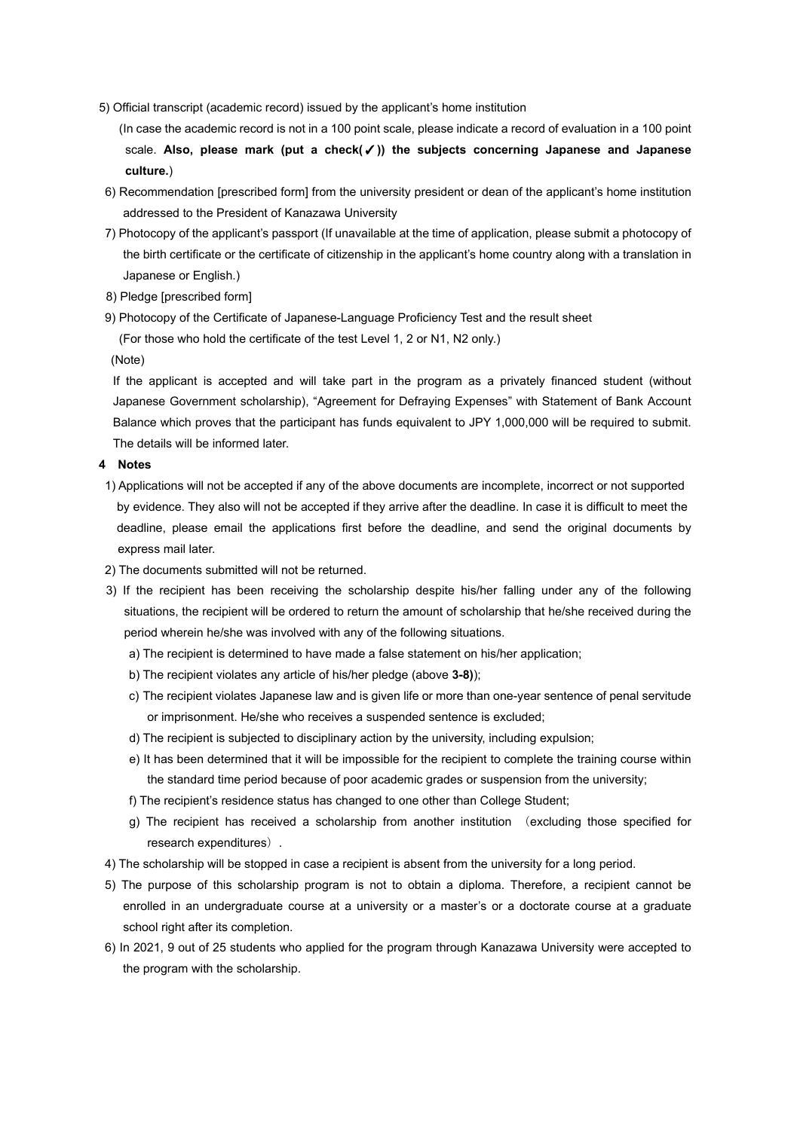- 5) Official transcript (academic record) issued by the applicant's home institution
	- (In case the academic record is not in a 100 point scale, please indicate a record of evaluation in a 100 point scale. **Also, please mark (put a check(**✓**)) the subjects concerning Japanese and Japanese culture.**)
- 6) Recommendation [prescribed form] from the university president or dean of the applicant's home institution addressed to the President of Kanazawa University
- 7) Photocopy of the applicant's passport (If unavailable at the time of application, please submit a photocopy of the birth certificate or the certificate of citizenship in the applicant's home country along with a translation in Japanese or English.)
- 8) Pledge [prescribed form]
- 9) Photocopy of the Certificate of Japanese-Language Proficiency Test and the result sheet

```
(For those who hold the certificate of the test Level 1, 2 or N1, N2 only.)
```
(Note)

If the applicant is accepted and will take part in the program as a privately financed student (without Japanese Government scholarship), "Agreement for Defraying Expenses" with Statement of Bank Account Balance which proves that the participant has funds equivalent to JPY 1,000,000 will be required to submit. The details will be informed later.

### **4 Notes**

- 1) Applications will not be accepted if any of the above documents are incomplete, incorrect or not supported by evidence. They also will not be accepted if they arrive after the deadline. In case it is difficult to meet the deadline, please email the applications first before the deadline, and send the original documents by express mail later.
- 2) The documents submitted will not be returned.
- 3) If the recipient has been receiving the scholarship despite his/her falling under any of the following situations, the recipient will be ordered to return the amount of scholarship that he/she received during the period wherein he/she was involved with any of the following situations.
	- a) The recipient is determined to have made a false statement on his/her application;
	- b) The recipient violates any article of his/her pledge (above **3-8)**);
	- c) The recipient violates Japanese law and is given life or more than one-year sentence of penal servitude or imprisonment. He/she who receives a suspended sentence is excluded;
	- d) The recipient is subjected to disciplinary action by the university, including expulsion;
	- e) It has been determined that it will be impossible for the recipient to complete the training course within the standard time period because of poor academic grades or suspension from the university;
	- f) The recipient's residence status has changed to one other than College Student;
	- g) The recipient has received a scholarship from another institution (excluding those specified for research expenditures).
- 4) The scholarship will be stopped in case a recipient is absent from the university for a long period.
- 5) The purpose of this scholarship program is not to obtain a diploma. Therefore, a recipient cannot be enrolled in an undergraduate course at a university or a master's or a doctorate course at a graduate school right after its completion.
- 6) In 2021, 9 out of 25 students who applied for the program through Kanazawa University were accepted to the program with the scholarship.